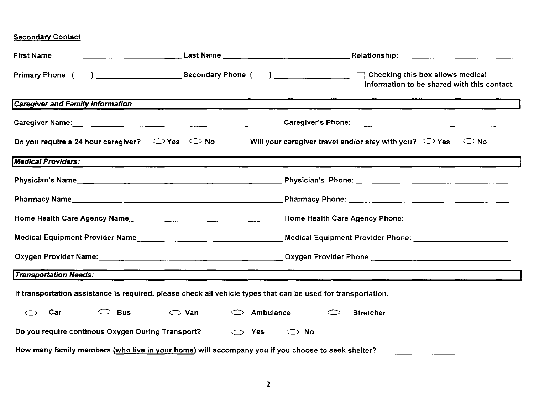## **Secondary Contact**

|                                                                                                                           |                             | information to be shared with this contact.                                                                                                                                                                                               |  |  |
|---------------------------------------------------------------------------------------------------------------------------|-----------------------------|-------------------------------------------------------------------------------------------------------------------------------------------------------------------------------------------------------------------------------------------|--|--|
| <b>Caregiver and Family Information</b>                                                                                   |                             |                                                                                                                                                                                                                                           |  |  |
|                                                                                                                           |                             |                                                                                                                                                                                                                                           |  |  |
| Do you require a 24 hour caregiver? $\Box$ Yes $\Box$ No                                                                  |                             | Will your caregiver travel and/or stay with you? $\heartsuit$ Yes $\heartsuit$ No                                                                                                                                                         |  |  |
| <b>Medical Providers:</b>                                                                                                 |                             |                                                                                                                                                                                                                                           |  |  |
|                                                                                                                           |                             |                                                                                                                                                                                                                                           |  |  |
|                                                                                                                           |                             |                                                                                                                                                                                                                                           |  |  |
|                                                                                                                           |                             |                                                                                                                                                                                                                                           |  |  |
|                                                                                                                           |                             | Medical Equipment Provider Phone: Network and Allen Contract and Allen Contract and Allen Contract and Allen Contract and Allen Contract and Allen Contract and Allen Contract and Allen Contract and Allen Contract and Allen            |  |  |
| Oxygen Provider Name: <u>Conserverse Communications of Conserverse Communications of Communications of Communications</u> |                             |                                                                                                                                                                                                                                           |  |  |
| <b>Transportation Needs:</b>                                                                                              |                             | <u> 1990 - Johann Harry Harry Harry Harry Harry Harry Harry Harry Harry Harry Harry Harry Harry Harry Harry Harry</u><br><u>s anno 1980 anns 1980 ann an Cathair ann an Cathair ann an Cathair ann an Cathair ann an Cathair ann an C</u> |  |  |
| If transportation assistance is required, please check all vehicle types that can be used for transportation.             |                             |                                                                                                                                                                                                                                           |  |  |
| Car<br>Bus<br>$\subset$                                                                                                   | $\bigcirc$ Van<br>Ambulance | Stretcher                                                                                                                                                                                                                                 |  |  |
| Do you require continous Oxygen During Transport?<br>Yes<br>$\bigcirc$<br>No<br>$\bigcirc$                                |                             |                                                                                                                                                                                                                                           |  |  |
| How many family members (who live in your home) will accompany you if you choose to seek shelter?                         |                             |                                                                                                                                                                                                                                           |  |  |

 $\sim 0.1$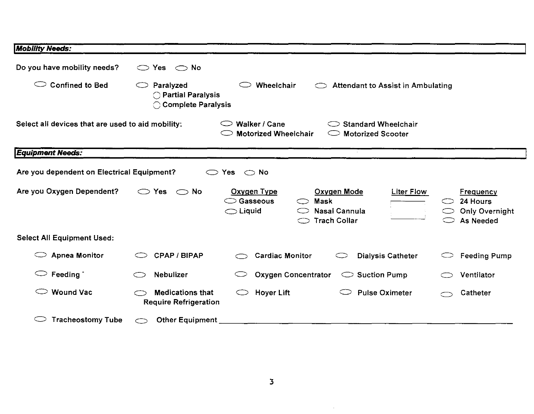| <b>Mobility Needs:</b>                                                                                                                                                                 |                                                         |                                                                                                                                             |                                                                                |  |
|----------------------------------------------------------------------------------------------------------------------------------------------------------------------------------------|---------------------------------------------------------|---------------------------------------------------------------------------------------------------------------------------------------------|--------------------------------------------------------------------------------|--|
| Do you have mobility needs?                                                                                                                                                            | $\bigcirc$ Yes $\bigcirc$ No                            |                                                                                                                                             |                                                                                |  |
| <b>Confined to Bed</b><br>○<br>Paralyzed<br>Wheelchair<br><b>Attendant to Assist in Ambulating</b><br>◯ Partial Paralysis<br>C Complete Paralysis                                      |                                                         |                                                                                                                                             |                                                                                |  |
| Select all devices that are used to aid mobility:<br>Walker / Cane<br>$\circlearrowright$ Standard Wheelchair<br><b>Motorized Wheelchair</b><br><b>Motorized Scooter</b><br>$\bigcirc$ |                                                         |                                                                                                                                             |                                                                                |  |
| <b>Equipment Needs:</b>                                                                                                                                                                |                                                         |                                                                                                                                             |                                                                                |  |
| Are you dependent on Electrical Equipment?                                                                                                                                             | $\subset$ $\supset$                                     | No<br><b>Yes</b><br>$\circ$                                                                                                                 |                                                                                |  |
| Are you Oxygen Dependent?                                                                                                                                                              | Yes<br>$\circlearrowright$ No<br>C)                     | Oxygen Type<br>Oxygen Mode<br><b>Liter Flow</b><br>Gasseous<br>Mask<br>⊂⊃<br>Nasal Cannula<br>$\bigcirc$ Liquid<br><b>Trach Collar</b><br>⇔ | <b>Frequency</b><br>24 Hours<br>⇔<br><b>Only Overnight</b><br>C D<br>As Needed |  |
| <b>Select All Equipment Used:</b>                                                                                                                                                      |                                                         |                                                                                                                                             |                                                                                |  |
| <b>Apnea Monitor</b>                                                                                                                                                                   | <b>CPAP / BIPAP</b>                                     | <b>Cardiac Monitor</b><br><b>Dialysis Catheter</b>                                                                                          | <b>Feeding Pump</b>                                                            |  |
| Feeding<br>$\circlearrowright$                                                                                                                                                         | Nebulizer                                               | <b>Oxygen Concentrator</b><br>$\circlearrowright$ Suction Pump                                                                              | Ventilator                                                                     |  |
| <b>Wound Vac</b>                                                                                                                                                                       | <b>Medications that</b><br><b>Require Refrigeration</b> | <b>Pulse Oximeter</b><br><b>Hoyer Lift</b><br>$\bigcirc$                                                                                    | Catheter                                                                       |  |
| <b>Tracheostomy Tube</b>                                                                                                                                                               | <b>Other Equipment</b>                                  |                                                                                                                                             |                                                                                |  |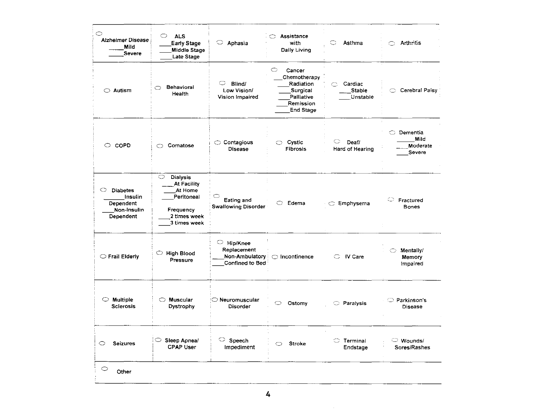| $\circ$<br>Alzheimer Disease<br>Mild<br><b>Severe</b>                    | <b>ALS</b><br>$\circ$<br><b>Early Stage</b><br><b>Middle Stage</b><br>Late Stage                                | $\circ$ Aphasia                                                             | Assistance<br>with<br>Daily Living                                                                  | C<br>Asthma                                | Arthritis<br>◠                                             |
|--------------------------------------------------------------------------|-----------------------------------------------------------------------------------------------------------------|-----------------------------------------------------------------------------|-----------------------------------------------------------------------------------------------------|--------------------------------------------|------------------------------------------------------------|
| $\circ$ Autism                                                           | Behavioral<br>⌒<br>Health                                                                                       | $\subset$<br>Blind/<br>Low Vision/<br>Vision Impaired                       | ○<br>Cancer<br>Chemotherapy<br>Radiation<br>Surgical<br>Palliative<br>Remission<br><b>End Stage</b> | Ó.<br>Cardiac<br><b>Stable</b><br>Unstable | C Cerebral Palsy                                           |
| $\circ$ copp                                                             | Comatose<br>◠                                                                                                   | $\circ$ Contagious<br>Disease                                               | $\circ$ Cystic<br>Fibrosis                                                                          | ○<br>Deaf/<br>Hard of Hearing              | $\circlearrowright$ Dementia<br>Mild<br>Moderate<br>Severe |
| O<br><b>Diabetes</b><br>Insulin<br>Dependent<br>Non-Insulin<br>Dependent | $\circ$<br><b>Dialysis</b><br>At Facility<br>At Home<br>Peritoneal<br>Frequency<br>2 times week<br>3 times week | C<br>Eating and<br><b>Swallowing Disorder</b>                               | Edema<br>O                                                                                          | Emphysema                                  | $\circ$ Fractured<br><b>Bones</b>                          |
| ◯ Frail Elderly                                                          | $\circ$ High Blood<br>Pressure                                                                                  | $\circ$ Hip/Knee<br>Replacement<br>Non-Ambulatory<br><b>Confined to Bed</b> | $\bigcirc$ incontinence                                                                             | $\circ$ IV Care                            | Mentally/<br>O<br>Memory<br>impaired                       |
| $\circ$ Multiple<br><b>Scierosis</b>                                     | $\bigcirc$ Muscular<br>Dystrophy                                                                                | $\mathord{\circlearrowright}$ Neuromuscular<br>Disorder                     | Ostomy<br>O                                                                                         | <b>C</b> Paralysis                         | ◯ Parkinson's<br>Disease                                   |
| <b>Seizures</b><br>$\circ$                                               | $\circ$ Sleep Apneal<br><b>CPAP User</b>                                                                        | $\circ$ Speech<br>Impediment                                                | Stroke<br>O                                                                                         | $\circ$ Terminal<br>Endstage               | $\circlearrowright$ Wounds/<br>Sores/Rashes                |
| $\bigcirc$<br>Other                                                      |                                                                                                                 |                                                                             |                                                                                                     |                                            |                                                            |

 $\bar{z}$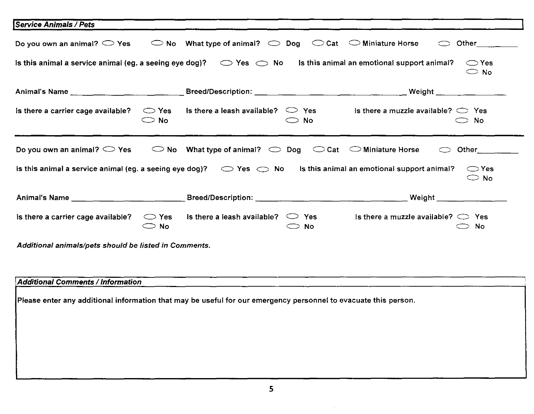| Service Animals / Pets                                                                                                                                           |                                 |                                                                                                                            |               |                                             |                                                                                                                                                                                                                                     |
|------------------------------------------------------------------------------------------------------------------------------------------------------------------|---------------------------------|----------------------------------------------------------------------------------------------------------------------------|---------------|---------------------------------------------|-------------------------------------------------------------------------------------------------------------------------------------------------------------------------------------------------------------------------------------|
| Do you own an animal? $\bigcirc$ Yes                                                                                                                             |                                 | $\circledcirc$ No What type of animal? $\circlearrowright$ Dog $\circlearrowright$ Cat $\circlearrowright$ Miniature Horse |               |                                             |                                                                                                                                                                                                                                     |
| Is this animal a service animal (eg. a seeing eye dog)? $\bigcirc$ Yes $\bigcirc$ No Is this animal an emotional support animal?                                 |                                 |                                                                                                                            |               |                                             | $\bigcirc$ Yes<br>$\bigcirc$ No                                                                                                                                                                                                     |
|                                                                                                                                                                  |                                 |                                                                                                                            |               |                                             | Weight ________________                                                                                                                                                                                                             |
| Is there a carrier cage available?                                                                                                                               | $\bigcirc$ Yes<br>$\bigcirc$ No | Is there a leash available? $\heartsuit$ Yes                                                                               | $\bigcirc$ No | Is there a muzzle available? $\bigcirc$ Yes | $\bigcirc$ No                                                                                                                                                                                                                       |
| Do you own an animal? $\bigcirc$ Yes                                                                                                                             |                                 | $\circ$ No What type of animal? $\circ$ Dog $\circ$ Cat $\circ$ Miniature Horse                                            |               |                                             | Other the control                                                                                                                                                                                                                   |
| Is this animal a service animal (eg. a seeing eye dog)? $\bigcirc$ Yes $\bigcirc$ No Is this animal an emotional support animal?<br>$\bigcirc$ Yes<br>$\circ$ No |                                 |                                                                                                                            |               |                                             |                                                                                                                                                                                                                                     |
|                                                                                                                                                                  |                                 |                                                                                                                            |               |                                             | <b>Weight</b> and the control of the control of the control of the control of the control of the control of the control of the control of the control of the control of the control of the control of the control of the control of |
| Is there a carrier cage available?                                                                                                                               | $\bigcirc$ Yes<br>$\bigcirc$ No | Is there a leash available? $\bigcirc$ Yes                                                                                 | $\bigcirc$ No | Is there a muzzle available? $\bigcirc$ Yes | $\bigcirc$ No                                                                                                                                                                                                                       |
| Additional animals/pets should be listed in Comments.                                                                                                            |                                 |                                                                                                                            |               |                                             |                                                                                                                                                                                                                                     |
| <b>Additional Comments / Information</b><br>Please enter any additional information that may be useful for our emergency personnel to evacuate this person.      |                                 |                                                                                                                            |               |                                             |                                                                                                                                                                                                                                     |